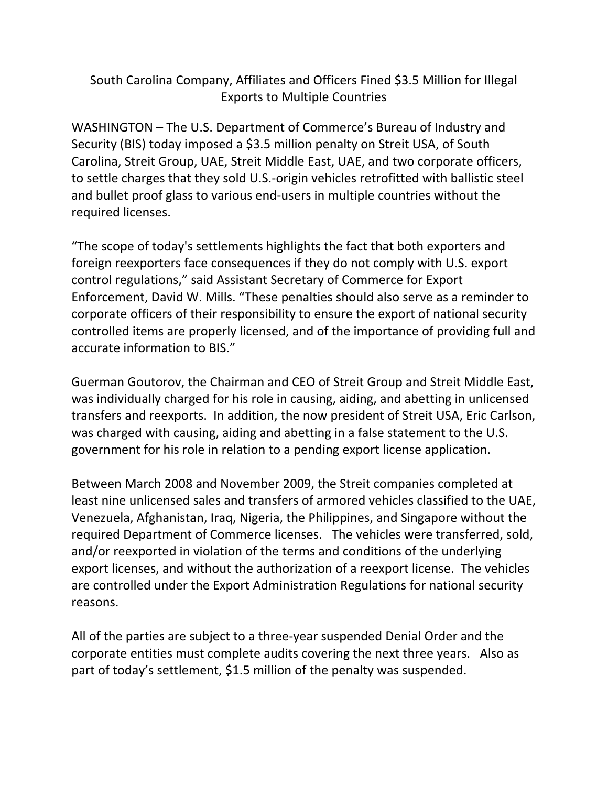## South Carolina Company, Affiliates and Officers Fined \$3.5 Million for Illegal Exports to Multiple Countries

WASHINGTON – The U.S. Department of Commerce's Bureau of Industry and Security (BIS) today imposed a \$3.5 million penalty on Streit USA, of South Carolina, Streit Group, UAE, Streit Middle East, UAE, and two corporate officers, to settle charges that they sold U.S.‐origin vehicles retrofitted with ballistic steel and bullet proof glass to various end‐users in multiple countries without the required licenses.

"The scope of today's settlements highlights the fact that both exporters and foreign reexporters face consequences if they do not comply with U.S. export control regulations," said Assistant Secretary of Commerce for Export Enforcement, David W. Mills. "These penalties should also serve as a reminder to corporate officers of their responsibility to ensure the export of national security controlled items are properly licensed, and of the importance of providing full and accurate information to BIS."

Guerman Goutorov, the Chairman and CEO of Streit Group and Streit Middle East, was individually charged for his role in causing, aiding, and abetting in unlicensed transfers and reexports. In addition, the now president of Streit USA, Eric Carlson, was charged with causing, aiding and abetting in a false statement to the U.S. government for his role in relation to a pending export license application.

Between March 2008 and November 2009, the Streit companies completed at least nine unlicensed sales and transfers of armored vehicles classified to the UAE, Venezuela, Afghanistan, Iraq, Nigeria, the Philippines, and Singapore without the required Department of Commerce licenses. The vehicles were transferred, sold, and/or reexported in violation of the terms and conditions of the underlying export licenses, and without the authorization of a reexport license. The vehicles are controlled under the Export Administration Regulations for national security reasons.

All of the parties are subject to a three‐year suspended Denial Order and the corporate entities must complete audits covering the next three years. Also as part of today's settlement, \$1.5 million of the penalty was suspended.